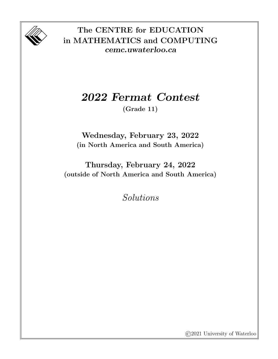

## The CENTRE for EDUCATION in MATHEMATICS and COMPUTING cemc.uwaterloo.ca

## 2022 Fermat Contest

(Grade 11)

Wednesday, February 23, 2022 (in North America and South America)

Thursday, February 24, 2022 (outside of North America and South America)

Solutions

©2021 University of Waterloo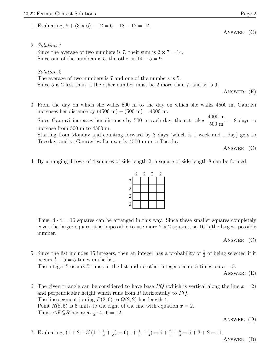1. Evaluating,  $6 + (3 \times 6) - 12 = 6 + 18 - 12 = 12$ .

2. Solution 1

Since the average of two numbers is 7, their sum is  $2 \times 7 = 14$ . Since one of the numbers is 5, the other is  $14 - 5 = 9$ .

Solution 2

The average of two numbers is 7 and one of the numbers is 5. Since 5 is 2 less than 7, the other number must be 2 more than 7, and so is 9.

Answer: (E)

3. From the day on which she walks 500 m to the day on which she walks 4500 m, Gauravi increases her distance by  $(4500 \text{ m}) - (500 \text{ m}) = 4000 \text{ m}$ .

Since Gauravi increases her distance by 500 m each day, then it takes  $\frac{4000 \text{ m}}{500}$ 500 m  $= 8$  days to increase from 500 m to 4500 m.

Starting from Monday and counting forward by 8 days (which is 1 week and 1 day) gets to Tuesday, and so Gauravi walks exactly 4500 m on a Tuesday.

Answer: (C)

4. By arranging 4 rows of 4 squares of side length 2, a square of side length 8 can be formed.



Thus,  $4 \cdot 4 = 16$  squares can be arranged in this way. Since these smaller squares completely cover the larger square, it is impossible to use more  $2 \times 2$  squares, so 16 is the largest possible number.

ANSWER: (C)

5. Since the list includes 15 integers, then an integer has a probability of  $\frac{1}{3}$  of being selected if it occurs  $\frac{1}{3} \cdot 15 = 5$  times in the list.

The integer 5 occurs 5 times in the list and no other integer occurs 5 times, so  $n = 5$ .

Answer: (E)

6. The given triangle can be considered to have base  $PQ$  (which is vertical along the line  $x = 2$ ) and perpendicular height which runs from  $R$  horizontally to  $PQ$ . The line segment joining  $P(2, 6)$  to  $Q(2, 2)$  has length 4. Point  $R(8, 5)$  is 6 units to the right of the line with equation  $x = 2$ . Thus,  $\triangle PQR$  has area  $\frac{1}{2} \cdot 4 \cdot 6 = 12$ .

Answer: (D)

7. Evaluating, 
$$
(1+2+3)(1+\frac{1}{2}+\frac{1}{3}) = 6(1+\frac{1}{2}+\frac{1}{3}) = 6+\frac{6}{2}+\frac{6}{3} = 6+3+2 = 11.
$$
  
Answer. (B)

Answer: (C)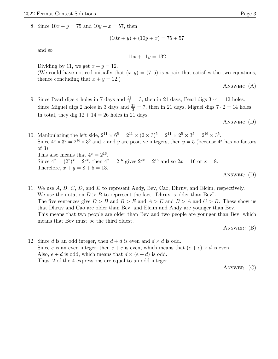8. Since  $10x + y = 75$  and  $10y + x = 57$ , then

$$
(10x + y) + (10y + x) = 75 + 57
$$

and so

$$
11x + 11y = 132
$$

Dividing by 11, we get  $x + y = 12$ .

(We could have noticed initially that  $(x, y) = (7, 5)$  is a pair that satisfies the two equations, thence concluding that  $x + y = 12$ .

Answer: (A)

9. Since Pearl digs 4 holes in 7 days and  $\frac{21}{7} = 3$ , then in 21 days, Pearl digs  $3 \cdot 4 = 12$  holes. Since Miguel digs 2 holes in 3 days and  $\frac{21}{3} = 7$ , then in 21 days, Miguel digs  $7 \cdot 2 = 14$  holes. In total, they dig  $12 + 14 = 26$  holes in 21 days.

Answer: (D)

10. Manipulating the left side,  $2^{11} \times 6^5 = 2^{11} \times (2 \times 3)^5 = 2^{11} \times 2^5 \times 3^5 = 2^{16} \times 3^5$ . Since  $4^x \times 3^y = 2^{16} \times 3^5$  and x and y are positive integers, then  $y = 5$  (because  $4^x$  has no factors of 3). This also means that  $4^x = 2^{16}$ . Since  $4^x = (2^2)^x = 2^{2x}$ , then  $4^x = 2^{16}$  gives  $2^{2x} = 2^{16}$  and so  $2x = 16$  or  $x = 8$ . Therefore,  $x + y = 8 + 5 = 13$ . Answer: (D)

11. We use A, B, C, D, and E to represent Andy, Bev, Cao, Dhruv, and Elcim, respectively. We use the notation  $D > B$  to represent the fact "Dhruv is older than Bev". The five sentences give  $D > B$  and  $B > E$  and  $A > E$  and  $B > A$  and  $C > B$ . These show us that Dhruv and Cao are older than Bev, and Elcim and Andy are younger than Bev. This means that two people are older than Bev and two people are younger than Bev, which means that Bev must be the third oldest.

Answer: (B)

12. Since d is an odd integer, then  $d + d$  is even and  $d \times d$  is odd. Since e is an even integer, then  $e + e$  is even, which means that  $(e + e) \times d$  is even. Also,  $e + d$  is odd, which means that  $d \times (e + d)$  is odd. Thus, 2 of the 4 expressions are equal to an odd integer.

Answer: (C)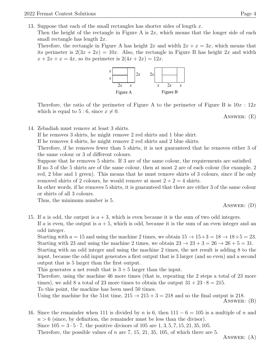13. Suppose that each of the small rectangles has shorter sides of length x.

Then the height of the rectangle in Figure A is  $2x$ , which means that the longer side of each small rectangle has length 2x.

Therefore, the rectangle in Figure A has height  $2x$  and width  $2x + x = 3x$ , which means that its perimeter is  $2(3x + 2x) = 10x$ . Also, the rectangle in Figure B has height 2x and width  $x + 2x + x = 4x$ , so its perimeter is  $2(4x + 2x) = 12x$ .



Therefore, the ratio of the perimeter of Figure A to the perimeter of Figure B is  $10x : 12x$ which is equal to 5 : 6, since  $x \neq 0$ .

Answer: (E)

14. Zebadiah must remove at least 3 shirts.

If he removes 3 shirts, he might remove 2 red shirts and 1 blue shirt.

If he removes 4 shirts, he might remove 2 red shirts and 2 blue shirts.

Therefore, if he removes fewer than 5 shirts, it is not guaranteed that he removes either 3 of the same colour or 3 of different colours.

Suppose that he removes 5 shirts. If 3 are of the same colour, the requirements are satisfied.

If no 3 of the 5 shirts are of the same colour, then at most 2 are of each colour (for example, 2 red, 2 blue and 1 green). This means that he must remove shirts of 3 colours, since if he only removed shirts of 2 colours, he would remove at most  $2 + 2 = 4$  shirts.

In other words, if he removes 5 shirts, it is guaranteed that there are either 3 of the same colour or shirts of all 3 colours.

Thus, the minimum number is 5.

Answer: (D)

15. If a is odd, the output is  $a + 3$ , which is even because it is the sum of two odd integers. If a is even, the output is  $a + 5$ , which is odd, because it is the sum of an even integer and an

odd integer.

Starting with  $a = 15$  and using the machine 2 times, we obtain  $15 \rightarrow 15+3 = 18 \rightarrow 18+5 = 23$ . Starting with 23 and using the machine 2 times, we obtain  $23 \rightarrow 23 + 3 = 26 \rightarrow 26 + 5 = 31$ .

Starting with an odd integer and using the machine 2 times, the net result is adding 8 to the input, because the odd input generates a first output that is 3 larger (and so even) and a second output that is 5 larger than the first output.

This generates a net result that is  $3 + 5$  larger than the input.

Therefore, using the machine 46 more times (that is, repeating the 2 steps a total of 23 more times), we add 8 a total of 23 more times to obtain the output  $31 + 23 \cdot 8 = 215$ .

To this point, the machine has been used 50 times.

Using the machine for the 51st time,  $215 \rightarrow 215 + 3 = 218$  and so the final output is 218. Answer: (B)

16. Since the remainder when 111 is divided by n is 6, then  $111 - 6 = 105$  is a multiple of n and  $n > 6$  (since, by definition, the remainder must be less than the divisor). Since  $105 = 3 \cdot 5 \cdot 7$ , the positive divisors of 105 are 1, 3, 5, 7, 15, 21, 35, 105.

Therefore, the possible values of n are 7, 15, 21, 35, 105, of which there are 5.

ANSWER: (A)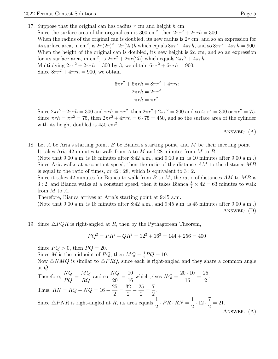17. Suppose that the original can has radius  $r \text{ cm}$  and height  $h \text{ cm}$ .

Since the surface area of the original can is 300 cm<sup>2</sup>, then  $2\pi r^2 + 2\pi rh = 300$ . When the radius of the original can is doubled, its new radius is  $2r$  cm, and so an expression for its surface area, in cm<sup>2</sup>, is  $2\pi(2r)^2 + 2\pi(2r)h$  which equals  $8\pi r^2 + 4\pi rh$ , and so  $8\pi r^2 + 4\pi rh = 900$ . When the height of the original can is doubled, its new height is  $2h$  cm, and so an expression for its surface area, in cm<sup>2</sup>, is  $2\pi r^2 + 2\pi r(2h)$  which equals  $2\pi r^2 + 4\pi rh$ . Multiplying  $2\pi r^2 + 2\pi rh = 300$  by 3, we obtain  $6\pi r^2 + 6\pi rh = 900$ . Since  $8\pi r^2 + 4\pi rh = 900$ , we obtain

$$
6\pi r^2 + 6\pi rh = 8\pi r^2 + 4\pi rh
$$

$$
2\pi rh = 2\pi r^2
$$

$$
\pi rh = \pi r^2
$$

Since  $2\pi r^2 + 2\pi rh = 300$  and  $\pi rh = \pi r^2$ , then  $2\pi r^2 + 2\pi r^2 = 300$  and so  $4\pi r^2 = 300$  or  $\pi r^2 = 75$ . Since  $\pi rh = \pi r^2 = 75$ , then  $2\pi r^2 + 4\pi rh = 6 \cdot 75 = 450$ , and so the surface area of the cylinder with its height doubled is  $450 \text{ cm}^2$ .

ANSWER:  $(A)$ 

18. Let A be Aria's starting point, B be Bianca's starting point, and M be their meeting point. It takes Aria 42 minutes to walk from A to M and 28 minutes from M to B. (Note that 9:00 a.m. is 18 minutes after 8:42 a.m., and 9:10 a.m. is 10 minutes after 9:00 a.m..)

Since Aria walks at a constant speed, then the ratio of the distance  $AM$  to the distance  $MB$ is equal to the ratio of times, or 42 : 28, which is equivalent to 3 : 2.

Since it takes 42 minutes for Bianca to walk from  $B$  to  $M$ , the ratio of distances  $AM$  to  $MB$  is 3 : 2, and Bianca walks at a constant speed, then it takes Bianca  $\frac{3}{2} \times 42 = 63$  minutes to walk from M to A.

Therefore, Bianca arrives at Aria's starting point at 9:45 a.m.

(Note that 9:00 a.m. is 18 minutes after 8:42 a.m., and 9:45 a.m. is 45 minutes after 9:00 a.m..) Answer: (D)

19. Since  $\triangle PQR$  is right-angled at R, then by the Pythagorean Theorem,

$$
PQ^2 = PR^2 + QR^2 = 12^2 + 16^2 = 144 + 256 = 400
$$

Since  $PQ > 0$ , then  $PQ = 20$ .

Since M is the midpoint of PQ, then  $MQ = \frac{1}{2}$  $\frac{1}{2}PQ = 10.$ 

Now  $\triangle NMQ$  is similar to  $\triangle PRQ$ , since each is right-angled and they share a common angle at Q.

Therefore, 
$$
\frac{NQ}{PQ} = \frac{MQ}{RQ}
$$
 and so  $\frac{NQ}{20} = \frac{10}{16}$  which gives  $NQ = \frac{20 \cdot 10}{16} = \frac{25}{2}$ .  
\nThus,  $RN = RQ - NQ = 16 - \frac{25}{2} = \frac{32}{2} - \frac{25}{2} = \frac{7}{2}$ .  
\nSince  $\triangle PNR$  is right-angled at *R*, its area equals  $\frac{1}{2} \cdot PR \cdot RN = \frac{1}{2} \cdot 12 \cdot \frac{7}{2} = 21$ .  
\nAnswer: (A)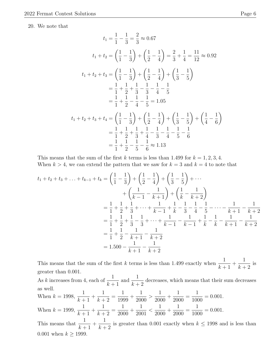20. We note that

$$
t_1 = \frac{1}{1} - \frac{1}{3} = \frac{2}{3} \approx 0.67
$$
  
\n
$$
t_1 + t_2 = \left(\frac{1}{1} - \frac{1}{3}\right) + \left(\frac{1}{2} - \frac{1}{4}\right) = \frac{2}{3} + \frac{1}{4} = \frac{11}{12} \approx 0.92
$$
  
\n
$$
t_1 + t_2 + t_3 = \left(\frac{1}{1} - \frac{1}{3}\right) + \left(\frac{1}{2} - \frac{1}{4}\right) + \left(\frac{1}{3} - \frac{1}{5}\right)
$$
  
\n
$$
= \frac{1}{1} + \frac{1}{2} + \frac{1}{3} - \frac{1}{3} - \frac{1}{4} - \frac{1}{5}
$$
  
\n
$$
= \frac{1}{1} + \frac{1}{2} - \frac{1}{4} - \frac{1}{5} = 1.05
$$
  
\n
$$
t_1 + t_2 + t_3 + t_4 = \left(\frac{1}{1} - \frac{1}{3}\right) + \left(\frac{1}{2} - \frac{1}{4}\right) + \left(\frac{1}{3} - \frac{1}{5}\right) + \left(\frac{1}{4} - \frac{1}{6}\right)
$$
  
\n
$$
= \frac{1}{1} + \frac{1}{2} + \frac{1}{3} + \frac{1}{4} - \frac{1}{3} - \frac{1}{4} - \frac{1}{5} - \frac{1}{6}
$$
  
\n
$$
= \frac{1}{1} + \frac{1}{2} - \frac{1}{5} - \frac{1}{6} \approx 1.13
$$

This means that the sum of the first k terms is less than 1.499 for  $k = 1, 2, 3, 4$ . When  $k > 4$ , we can extend the pattern that we saw for  $k = 3$  and  $k = 4$  to note that

$$
t_1 + t_2 + t_3 + \ldots + t_{k-1} + t_k = \left(\frac{1}{1} - \frac{1}{3}\right) + \left(\frac{1}{2} - \frac{1}{4}\right) + \left(\frac{1}{3} - \frac{1}{5}\right) + \cdots
$$
  
+ 
$$
\left(\frac{1}{k-1} - \frac{1}{k+1}\right) + \left(\frac{1}{k} - \frac{1}{k+2}\right)
$$
  
= 
$$
\frac{1}{1} + \frac{1}{2} + \frac{1}{3} + \cdots + \frac{1}{k-1} + \frac{1}{k} - \frac{1}{3} - \frac{1}{4} - \frac{1}{5} - \cdots - \frac{1}{k+1} - \frac{1}{k+2}
$$
  
= 
$$
\frac{1}{1} + \frac{1}{2} + \frac{1}{3} - \frac{1}{3} + \cdots + \frac{1}{k-1} - \frac{1}{k-1} + \frac{1}{k} - \frac{1}{k} - \frac{1}{k+1} - \frac{1}{k+2}
$$
  
= 
$$
\frac{1}{1} + \frac{1}{2} - \frac{1}{k+1} - \frac{1}{k+2}
$$
  
= 1.500 - 
$$
\frac{1}{k+1} - \frac{1}{k+2}
$$

This means that the sum of the first k terms is less than 1.499 exactly when  $\frac{1}{1}$  $k+1$  $+$ 1  $k+2$ is greater than 0.001.

As k increases from 4, each of  $\frac{1}{1}$  $k+1$ and  $\frac{1}{1}$  $k+2$ decreases, which means that their sum decreases as well. When  $k = 1998$ , 1  $k+1$  $+$ 1  $k+2$ = 1 1999  $+$ 1 2000  $>$ 1 2000  $+$ 1 2000 = 1 1000  $= 0.001.$ When  $k = 1999$ , 1  $k+1$  $+$ 1  $k + 2$ = 1 2000  $+$ 1 2001  $\lt$ 1 2000  $^{+}$ 1 2000 = 1 1000  $= 0.001.$ This means that  $\frac{1}{1}$  $k+1$  $+$ 1  $k+2$ is greater than 0.001 exactly when  $k \le 1998$  and is less than 0.001 when  $k \ge 1999$ .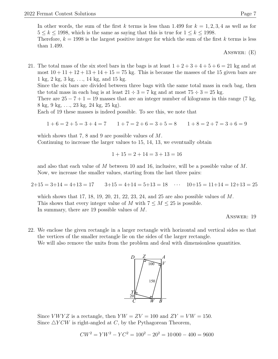In other words, the sum of the first k terms is less than 1.499 for  $k = 1, 2, 3, 4$  as well as for  $5 \leq k \leq 1998$ , which is the same as saying that this is true for  $1 \leq k \leq 1998$ . Therefore,  $k = 1998$  is the largest positive integer for which the sum of the first k terms is less

than 1.499.

Answer: (E)

21. The total mass of the six steel bars in the bags is at least  $1+2+3+4+5+6=21$  kg and at most  $10 + 11 + 12 + 13 + 14 + 15 = 75$  kg. This is because the masses of the 15 given bars are 1 kg, 2 kg, 3 kg, . . ., 14 kg, and 15 kg.

Since the six bars are divided between three bags with the same total mass in each bag, then the total mass in each bag is at least  $21 \div 3 = 7$  kg and at most  $75 \div 3 = 25$  kg.

There are  $25 - 7 + 1 = 19$  masses that are an integer number of kilograms in this range (7 kg, 8 kg, 9 kg, . . ., 23 kg, 24 kg, 25 kg).

Each of 19 these masses is indeed possible. To see this, we note that

$$
1+6=2+5=3+4=7 \qquad 1+7=2+6=3+5=8 \qquad 1+8=2+7=3+6=9
$$

which shows that 7, 8 and 9 are possible values of M.

Continuing to increase the larger values to 15, 14, 13, we eventually obtain

$$
1 + 15 = 2 + 14 = 3 + 13 = 16
$$

and also that each value of M between 10 and 16, inclusive, will be a possible value of M. Now, we increase the smaller values, starting from the last three pairs:

 $2+15 = 3+14 = 4+13 = 17$   $3+15 = 4+14 = 5+13 = 18$   $\cdots$   $10+15 = 11+14 = 12+13 = 25$ 

which shows that 17, 18, 19, 20, 21, 22, 23, 24, and 25 are also possible values of  $M$ . This shows that every integer value of M with  $7 \leq M \leq 25$  is possible. In summary, there are 19 possible values of M.

Answer: 19

22. We enclose the given rectangle in a larger rectangle with horizontal and vertical sides so that the vertices of the smaller rectangle lie on the sides of the larger rectangle.

We will also remove the units from the problem and deal with dimensionless quantities.



Since *VWYZ* is a rectangle, then  $YW = ZV = 100$  and  $ZY = VW = 150$ . Since  $\triangle YCW$  is right-angled at C, by the Pythagorean Theorem,

$$
CW^2 = YW^2 - YC^2 = 100^2 - 20^2 = 10000 - 400 = 9600
$$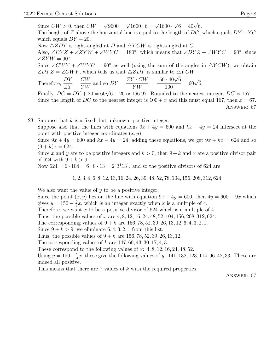Since  $CW > 0$ , then  $CW =$  $\sqrt{9600} = \sqrt{1600 \cdot 6} = \sqrt{1600}$  $\sqrt{6} = 40\sqrt{6}.$ The height of Z above the horizontal line is equal to the length of DC, which equals  $DY + YC$ which equals  $DY + 20$ . Now  $\triangle ZDY$  is right-angled at D and  $\triangle YCW$  is right-angled at C. Also,  $\angle DYZ + \angle ZYW + \angle WYC = 180^\circ$ , which means that  $\angle DYZ + \angle WYC = 90^\circ$ , since  $\angle ZYW = 90^\circ.$ Since  $\angle CWY + \angle WYC = 90^{\circ}$  as well (using the sum of the angles in  $\triangle YCW$ ), we obtain  $\angle DYZ = \angle CWY$ , which tells us that  $\triangle ZDY$  is similar to  $\triangle YCW$ . Therefore,  $\frac{DY}{dV}$ ZY =  $CW$ Y W and so  $DY =$  $ZY \cdot CW$ Y W =  $\frac{150 \cdot 40 \sqrt{6}}{2}$ 100  $= 60\sqrt{6}.$ Finally,  $DC = DY + 20 = 60\sqrt{6} + 20 \approx 166.97$ . Rounded to the nearest integer, DC is 167.

Since the length of DC to the nearest integer is  $100 + x$  and this must equal 167, then  $x = 67$ . Answer: 67

23. Suppose that  $k$  is a fixed, but unknown, positive integer.

Suppose also that the lines with equations  $9x + 4y = 600$  and  $kx - 4y = 24$  intersect at the point with positive integer coordinates  $(x, y)$ .

Since  $9x + 4y = 600$  and  $kx - 4y = 24$ , adding these equations, we get  $9x + kx = 624$  and so  $(9 + k)x = 624.$ 

Since x and y are to be positive integers and  $k > 0$ , then  $9 + k$  and x are a positive divisor pair of 624 with  $9 + k > 9$ .

Now  $624 = 6 \cdot 104 = 6 \cdot 8 \cdot 13 = 2^{4}3^{1}13^{1}$ , and so the positive divisors of 624 are

1, 2, 3, 4, 6, 8, 12, 13, 16, 24, 26, 39, 48, 52, 78, 104, 156, 208, 312, 624

We also want the value of  $y$  to be a positive integer.

Since the point  $(x, y)$  lies on the line with equation  $9x + 4y = 600$ , then  $4y = 600 - 9x$  which gives  $y = 150 - \frac{9}{4}$  $\frac{9}{4}x$ , which is an integer exactly when x is a multiple of 4.

Therefore, we want x to be a positive divisor of 624 which is a multiple of 4.

Thus, the possible values of x are 4, 8, 12, 16, 24, 48, 52, 104, 156, 208, 312, 624.

The corresponding values of  $9 + k$  are 156, 78, 52, 39, 26, 13, 12, 6, 4, 3, 2, 1.

Since  $9 + k > 9$ , we eliminate 6, 4, 3, 2, 1 from this list.

Thus, the possible values of  $9 + k$  are 156, 78, 52, 39, 26, 13, 12.

The corresponding values of k are  $147, 69, 43, 30, 17, 4, 3$ .

These correspond to the following values of  $x: 4, 8, 12, 16, 24, 48, 52$ .

Using  $y = 150 - \frac{9}{4}$  $\frac{9}{4}x$ , these give the following values of y: 141, 132, 123, 114, 96, 42, 33. These are indeed all positive.

This means that there are 7 values of k with the required properties.

Answer: 07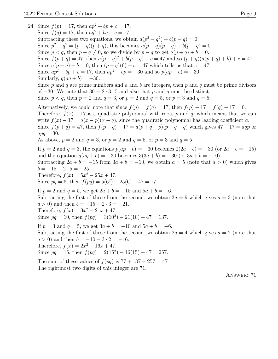24. Since  $f(p) = 17$ , then  $ap^2 + bp + c = 17$ . Since  $f(q) = 17$ , then  $aq^2 + bq + c = 17$ . Subtracting these two equations, we obtain  $a(p^2 - q^2) + b(p - q) = 0$ . Since  $p^2 - q^2 = (p - q)(p + q)$ , this becomes  $a(p - q)(p + q) + b(p - q) = 0$ . Since  $p < q$ , then  $p - q \neq 0$ , so we divide by  $p - q$  to get  $a(p + q) + b = 0$ . Since  $f(p+q) = 47$ , then  $a(p+q)^2 + b(p+q) + c = 47$  and so  $(p+q)(a(p+q) + b) + c = 47$ . Since  $a(p+q) + b = 0$ , then  $(p+q)(0) + c = 47$  which tells us that  $c = 47$ . Since  $ap^2 + bp + c = 17$ , then  $ap^2 + bp = -30$  and so  $p(ap + b) = -30$ . Similarly,  $q(aq + b) = -30$ . Since p and q are prime numbers and a and b are integers, then p and q must be prime divisors of −30. We note that  $30 = 2 \cdot 3 \cdot 5$  and also that p and q must be distinct. Since  $p < q$ , then  $p = 2$  and  $q = 3$ , or  $p = 2$  and  $q = 5$ , or  $p = 3$  and  $q = 5$ . Alternatively, we could note that since  $f(p) = f(q) = 17$ , then  $f(p) - 17 = f(q) - 17 = 0$ . Therefore,  $f(x) - 17$  is a quadratic polynomial with roots p and q, which means that we can write  $f(x) - 17 = a(x - p)(x - q)$ , since the quadratic polynomial has leading coefficient a. Since  $f(p+q) = 47$ , then  $f(p+q) - 17 = a(p+q-p)(p+q-q)$  which gives  $47 - 17 = aqp$  or  $apq = 30.$ As above,  $p = 2$  and  $q = 3$ , or  $p = 2$  and  $q = 5$ , or  $p = 3$  and  $q = 5$ . If  $p = 2$  and  $q = 3$ , the equations  $p(ap + b) = -30$  becomes  $2(2a + b) = -30$  (or  $2a + b = -15$ ) and the equation  $q(aq + b) = -30$  becomes  $3(3a + b) = -30$  (or  $3a + b = -10$ ). Subtracting  $2a + b = -15$  from  $3a + b = -10$ , we obtain  $a = 5$  (note that  $a > 0$ ) which gives  $b = -15 - 2 \cdot 5 = -25.$ Therefore,  $f(x) = 5x^2 - 25x + 47$ . Since  $pq = 6$ , then  $f(pq) = 5(6^2) - 25(6) + 47 = 77$ . If  $p = 2$  and  $q = 5$ , we get  $2a + b = -15$  and  $5a + b = -6$ . Subtracting the first of these from the second, we obtain  $3a = 9$  which gives  $a = 3$  (note that  $a > 0$ ) and then  $b = -15 - 2 \cdot 3 = -21$ . Therefore,  $f(x) = 3x^2 - 21x + 47$ . Since  $pq = 10$ , then  $f(pq) = 3(10^2) - 21(10) + 47 = 137$ . If  $p = 3$  and  $q = 5$ , we get  $3a + b = -10$  and  $5a + b = -6$ . Subtracting the first of these from the second, we obtain  $2a = 4$  which gives  $a = 2$  (note that  $a > 0$ ) and then  $b = -10 - 3 \cdot 2 = -16$ . Therefore,  $f(x) = 2x^2 - 16x + 47$ . Since  $pq = 15$ , then  $f(pq) = 2(15^2) - 16(15) + 47 = 257$ . The sum of these values of  $f(pq)$  is  $77 + 137 + 257 = 471$ . The rightmost two digits of this integer are 71. Answer: 71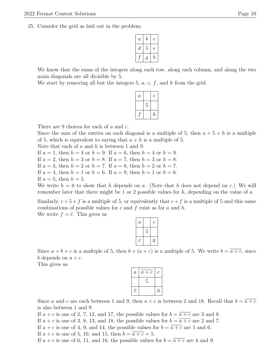25. Consider the grid as laid out in the problem:

| $\overline{a}$ | b                | C |
|----------------|------------------|---|
| $\it d$        | 5                | е |
|                | $\boldsymbol{q}$ | h |

We know that the sums of the integers along each row, along each column, and along the two main diagonals are all divisible by 5.

We start by removing all but the integers 5,  $a, c, f$ , and  $h$  from the grid.

| $\it a$ |   | C                |
|---------|---|------------------|
|         | 5 |                  |
|         |   | $\boldsymbol{h}$ |

There are 9 choices for each of a and c.

Since the sum of the entries on each diagonal is a multiple of 5, then  $a + 5 + h$  is a multiple of 5, which is equivalent to saying that  $a + h$  is a multiple of 5.

Note that each of  $a$  and  $h$  is between 1 and 9.

If  $a = 1$ , then  $h = 4$  or  $h = 9$ . If  $a = 6$ , then  $h = 4$  or  $h = 9$ . If  $a = 2$ , then  $h = 3$  or  $h = 8$ . If  $a = 7$ , then  $h = 3$  or  $h = 8$ . If  $a = 3$ , then  $h = 2$  or  $h = 7$ . If  $a = 8$ , then  $h = 2$  or  $h = 7$ . If  $a = 4$ , then  $h = 1$  or  $h = 6$ . If  $a = 9$ , then  $h = 1$  or  $h = 6$ . If  $a = 5$ , then  $h = 5$ .

We write  $h = \overline{a}$  to show that h depends on a. (Note that h does not depend on c.) We will remember later that there might be 1 or 2 possible values for  $h$ , depending on the value of  $a$ .

Similarly,  $c + 5 + f$  is a multiple of 5, or equivalently that  $c + f$  is a multiple of 5 and this same combinations of possible values for  $c$  and  $f$  exist as for  $a$  and  $h$ .

We write  $f = \overline{c}$ . This gives us

| $\boldsymbol{a}$ |   | $\mathcal{C}_{0}^{(n)}$ |
|------------------|---|-------------------------|
|                  | 5 |                         |
| $\epsilon$       |   | $\overline{a}$          |

Since  $a + b + c$  is a multiple of 5, then  $b + (a + c)$  is a multiple of 5. We write  $b = \overline{a + c}$ , since b depends on  $a + c$ .

This gives us

| $\boldsymbol{a}$ | $a + c$ | С         |
|------------------|---------|-----------|
|                  | 5       |           |
| $\overline{c}$   |         | $\bar{a}$ |

Since a and c are each between 1 and 9, then  $a + c$  is between 2 and 18. Recall that  $b = \overline{a + c}$ is also between 1 and 9.

If  $a + c$  is one of 2, 7, 12, and 17, the possible values for  $b = \overline{a + c}$  are 3 and 8.

If  $a + c$  is one of 3, 8, 13, and 18, the possible values for  $b = \overline{a + c}$  are 2 and 7.

If  $a + c$  is one of 4, 9, and 14, the possible values for  $b = \overline{a + c}$  are 1 and 6.

If  $a + c$  is one of 5, 10, and 15, then  $b = \overline{a + c} = 5$ .

If  $a + c$  is one of 6, 11, and 16, the possible values for  $b = \overline{a + c}$  are 4 and 9.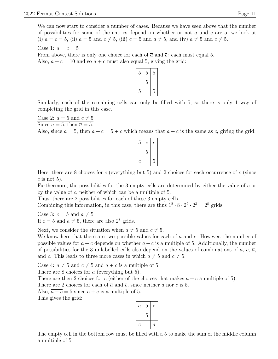We can now start to consider a number of cases. Because we have seen above that the number of possibilities for some of the entries depend on whether or not a and c are 5, we look at (i)  $a = c = 5$ , (ii)  $a = 5$  and  $c \neq 5$ , (iii)  $c = 5$  and  $a \neq 5$ , and (iv)  $a \neq 5$  and  $c \neq 5$ .

Case 1:  $a = c = 5$ 

From above, there is only one choice for each of  $\bar{a}$  and  $\bar{c}$ : each must equal 5. Also,  $a + c = 10$  and so  $\overline{a + c}$  must also equal 5, giving the grid:

| $\overline{5}$ | $\overline{5}$ | 5 |
|----------------|----------------|---|
|                | $\overline{5}$ |   |
| 5              |                | 5 |

Similarly, each of the remaining cells can only be filled with 5, so there is only 1 way of completing the grid in this case.

Case 2:  $a = 5$  and  $c \neq 5$ 

Since  $a = 5$ , then  $\overline{a} = 5$ .

Also, since  $a = 5$ , then  $a + c = 5 + c$  which means that  $\overline{a + c}$  is the same as  $\overline{c}$ , giving the grid:



Here, there are 8 choices for c (everything but 5) and 2 choices for each occurrence of  $\bar{c}$  (since  $c$  is not 5).

Furthermore, the possibilities for the 3 empty cells are determined by either the value of c or by the value of  $\bar{c}$ , neither of which can be a multiple of 5.

Thus, there are 2 possibilities for each of these 3 empty cells.

Combining this information, in this case, there are thus  $1^2 \cdot 8 \cdot 2^2 \cdot 2^3 = 2^8$  grids.

Case 3:  $c = 5$  and  $a \neq 5$ If  $c = 5$  and  $a \neq 5$ , there are also  $2^8$  grids.

Next, we consider the situation when  $a \neq 5$  and  $c \neq 5$ .

We know here that there are two possible values for each of  $\bar{a}$  and  $\bar{c}$ . However, the number of possible values for  $\overline{a+c}$  depends on whether  $a+c$  is a multiple of 5. Additionally, the number of possibilities for the 3 unlabelled cells also depend on the values of combinations of a, c,  $\bar{a}$ , and  $\bar{c}$ . This leads to three more cases in which  $a \neq 5$  and  $c \neq 5$ .

Case 4:  $a \neq 5$  and  $c \neq 5$  and  $a + c$  is a multiple of 5

There are 8 choices for a (everything but 5).

There are then 2 choices for c (either of the choices that makes  $a + c$  a multiple of 5).

There are 2 choices for each of  $\bar{a}$  and  $\bar{c}$ , since neither a nor c is 5.

Also,  $\overline{a+c} = 5$  since  $a+c$  is a multiple of 5.

This gives the grid:

| $\boldsymbol{a}$ | 5 | C              |
|------------------|---|----------------|
|                  | h |                |
| 3                |   | $\overline{a}$ |

The empty cell in the bottom row must be filled with a 5 to make the sum of the middle column a multiple of 5.